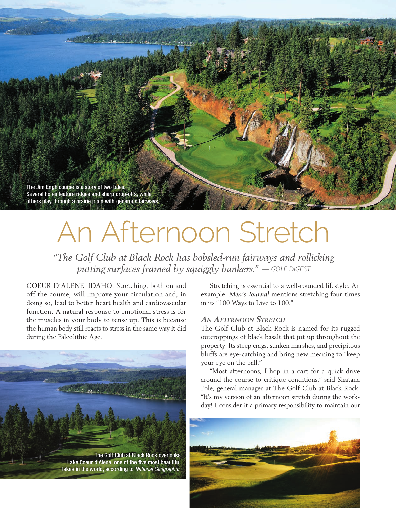The Jim Engh course is a story of two tales. Several holes feature ridges and sharp drop-offs, while others play through a prairie plain with generous fairways.

# An Afternoon Stretch

*"The Golf Club at Black Rock has bobsled-run fairways and rollicking putting surfaces framed by squiggly bunkers." — GOLF DIGEST*

COEUR D'ALENE, IDAHO: Stretching, both on and off the course, will improve your circulation and, in doing so, lead to better heart health and cardiovascular function. A natural response to emotional stress is for the muscles in your body to tense up. This is because the human body still reacts to stress in the same way it did during the Paleolithic Age.



Stretching is essential to a well-rounded lifestyle. An example: *Men's Journal* mentions stretching four times in its "100 Ways to Live to 100."

# *An Afternoon Stretch*

The Golf Club at Black Rock is named for its rugged outcroppings of black basalt that jut up throughout the property. Its steep crags, sunken marshes, and precipitous bluffs are eye-catching and bring new meaning to "keep your eye on the ball."

"Most afternoons, I hop in a cart for a quick drive around the course to critique conditions," said Shatana Pole, general manager at The Golf Club at Black Rock. "It's my version of an afternoon stretch during the workday! I consider it a primary responsibility to maintain our